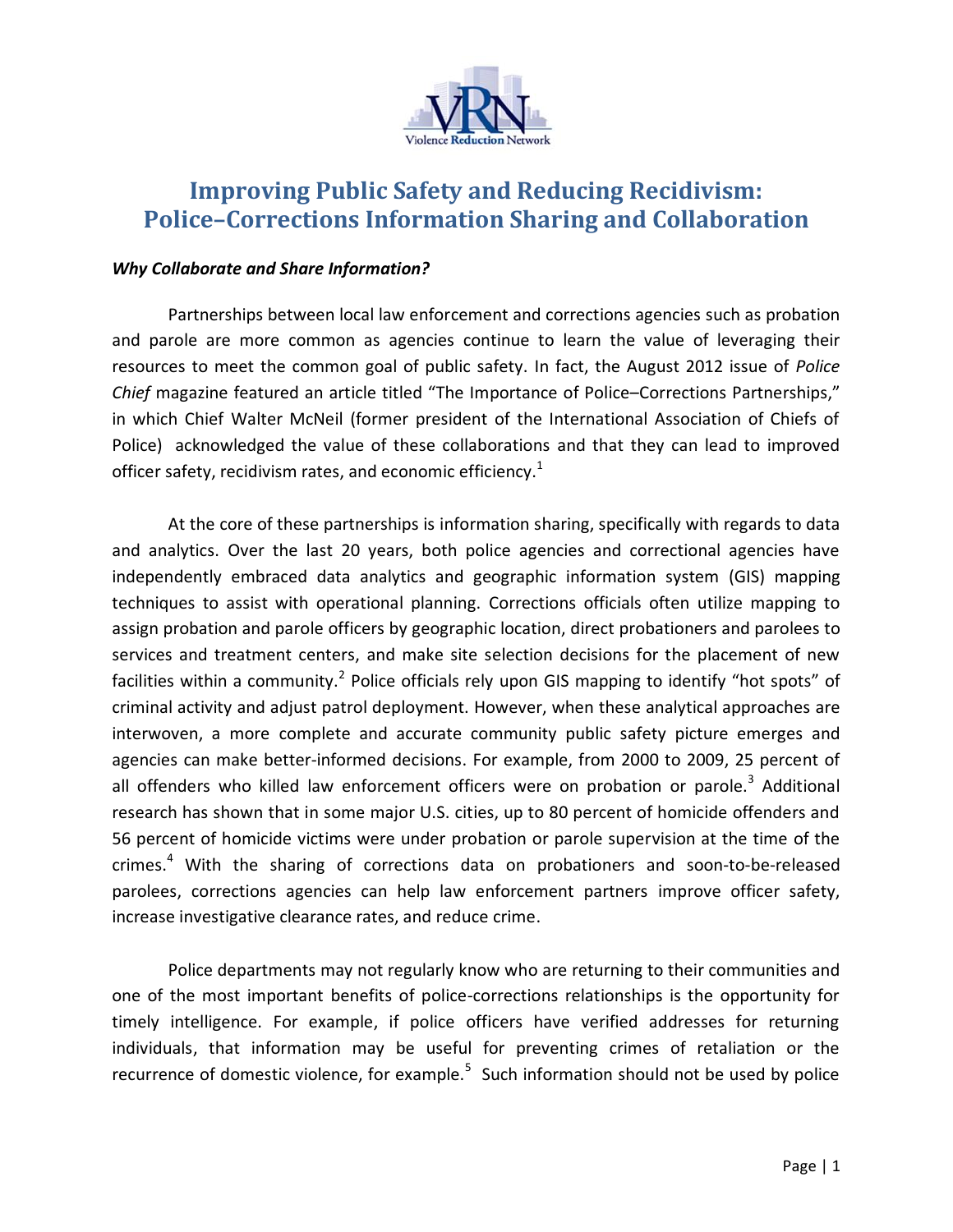

# **Improving Public Safety and Reducing Recidivism: Police–Corrections Information Sharing and Collaboration**

## *Why Collaborate and Share Information?*

Partnerships between local law enforcement and corrections agencies such as probation and parole are more common as agencies continue to learn the value of leveraging their resources to meet the common goal of public safety. In fact, the August 2012 issue of *Police Chief* magazine featured an article titled "The Importance of Police–Corrections Partnerships," in which Chief Walter McNeil (former president of the International Association of Chiefs of Police) acknowledged the value of these collaborations and that they can lead to improved officer safety, recidivism rates, and economic efficiency. $^{1}$ 

At the core of these partnerships is information sharing, specifically with regards to data and analytics. Over the last 20 years, both police agencies and correctional agencies have independently embraced data analytics and geographic information system (GIS) mapping techniques to assist with operational planning. Corrections officials often utilize mapping to assign probation and parole officers by geographic location, direct probationers and parolees to services and treatment centers, and make site selection decisions for the placement of new facilities within a community.<sup>2</sup> Police officials rely upon GIS mapping to identify "hot spots" of criminal activity and adjust patrol deployment. However, when these analytical approaches are interwoven, a more complete and accurate community public safety picture emerges and agencies can make better-informed decisions. For example, from 2000 to 2009, 25 percent of all offenders who killed law enforcement officers were on probation or parole.<sup>3</sup> Additional research has shown that in some major U.S. cities, up to 80 percent of homicide offenders and 56 percent of homicide victims were under probation or parole supervision at the time of the crimes.<sup>4</sup> With the sharing of corrections data on probationers and soon-to-be-released parolees, corrections agencies can help law enforcement partners improve officer safety, increase investigative clearance rates, and reduce crime.

Police departments may not regularly know who are returning to their communities and one of the most important benefits of police-corrections relationships is the opportunity for timely intelligence. For example, if police officers have verified addresses for returning individuals, that information may be useful for preventing crimes of retaliation or the recurrence of domestic violence, for example.<sup>5</sup> Such information should not be used by police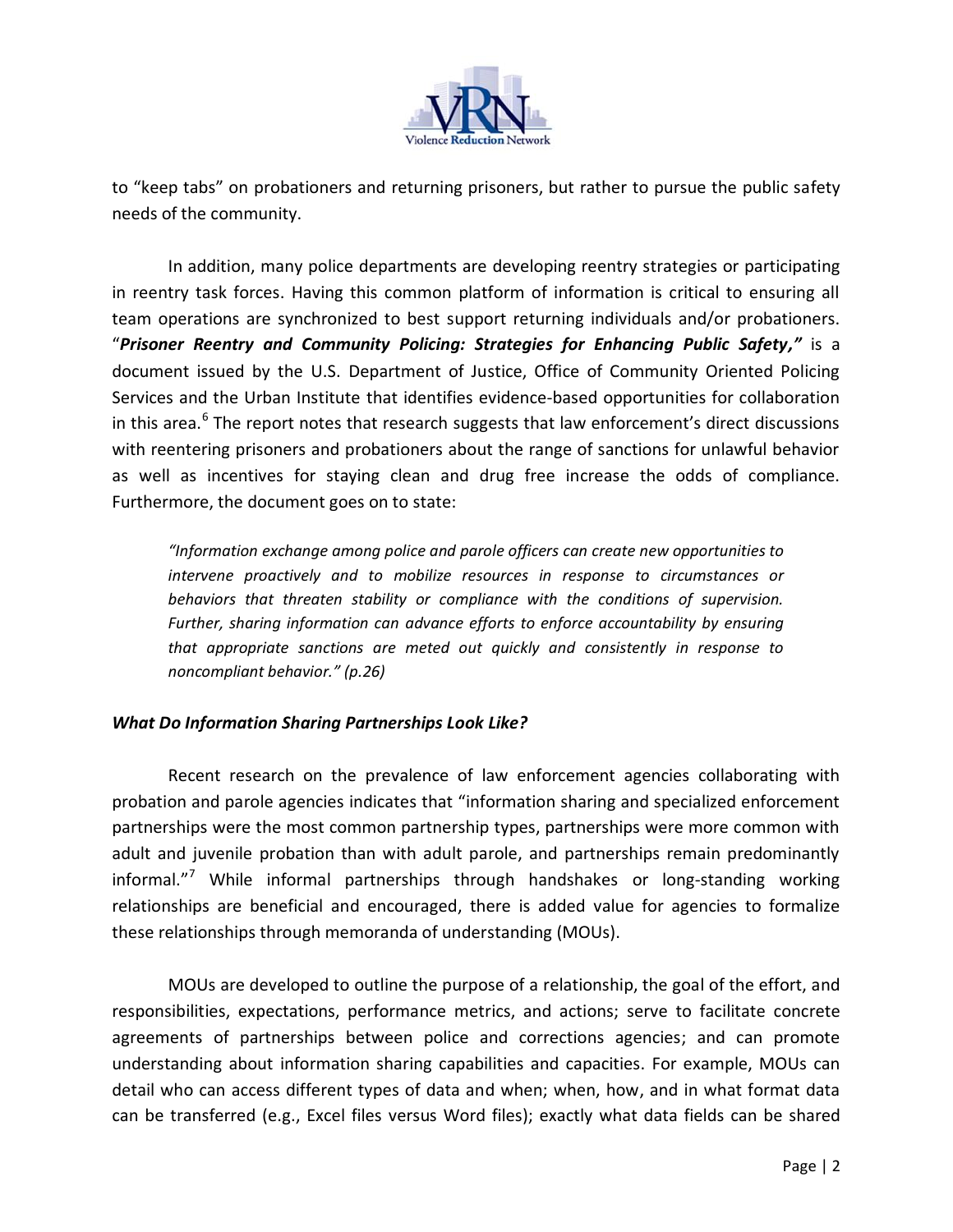

to "keep tabs" on probationers and returning prisoners, but rather to pursue the public safety needs of the community.

In addition, many police departments are developing reentry strategies or participating in reentry task forces. Having this common platform of information is critical to ensuring all team operations are synchronized to best support returning individuals and/or probationers. "*Prisoner Reentry and Community Policing: Strategies for Enhancing Public Safety,"* is a document issued by the U.S. Department of Justice, Office of Community Oriented Policing Services and the Urban Institute that identifies evidence-based opportunities for collaboration in this area.<sup>6</sup> The report notes that research suggests that law enforcement's direct discussions with reentering prisoners and probationers about the range of sanctions for unlawful behavior as well as incentives for staying clean and drug free increase the odds of compliance. Furthermore, the document goes on to state:

*"Information exchange among police and parole officers can create new opportunities to intervene proactively and to mobilize resources in response to circumstances or behaviors that threaten stability or compliance with the conditions of supervision.*  Further, sharing information can advance efforts to enforce accountability by ensuring *that appropriate sanctions are meted out quickly and consistently in response to noncompliant behavior." (p.26)*

# *What Do Information Sharing Partnerships Look Like?*

Recent research on the prevalence of law enforcement agencies collaborating with probation and parole agencies indicates that "information sharing and specialized enforcement partnerships were the most common partnership types, partnerships were more common with adult and juvenile probation than with adult parole, and partnerships remain predominantly informal."<sup>7</sup> While informal partnerships through handshakes or long-standing working relationships are beneficial and encouraged, there is added value for agencies to formalize these relationships through memoranda of understanding (MOUs).

MOUs are developed to outline the purpose of a relationship, the goal of the effort, and responsibilities, expectations, performance metrics, and actions; serve to facilitate concrete agreements of partnerships between police and corrections agencies; and can promote understanding about information sharing capabilities and capacities. For example, MOUs can detail who can access different types of data and when; when, how, and in what format data can be transferred (e.g., Excel files versus Word files); exactly what data fields can be shared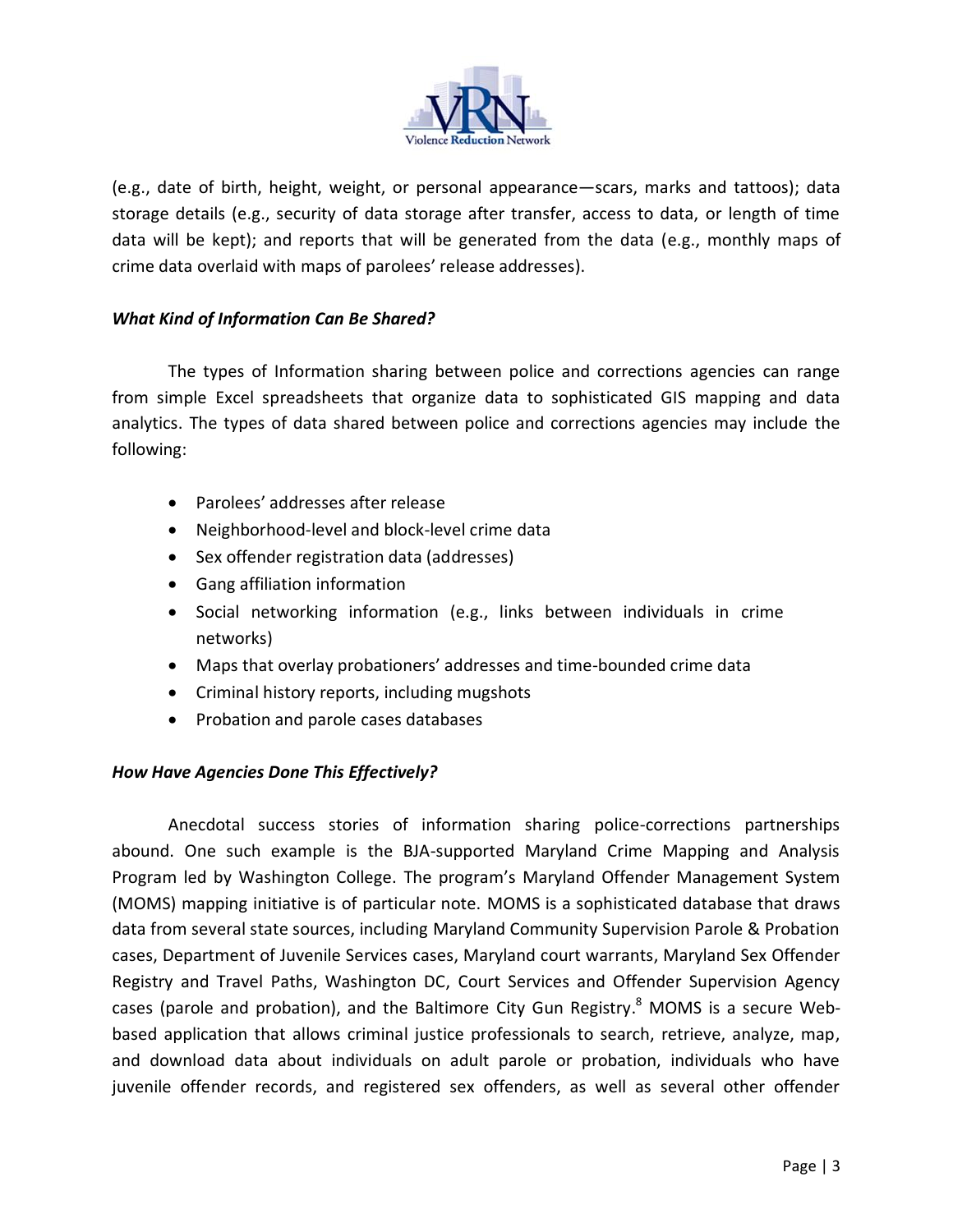

(e.g., date of birth, height, weight, or personal appearance—scars, marks and tattoos); data storage details (e.g., security of data storage after transfer, access to data, or length of time data will be kept); and reports that will be generated from the data (e.g., monthly maps of crime data overlaid with maps of parolees' release addresses).

## *What Kind of Information Can Be Shared?*

The types of Information sharing between police and corrections agencies can range from simple Excel spreadsheets that organize data to sophisticated GIS mapping and data analytics. The types of data shared between police and corrections agencies may include the following:

- Parolees' addresses after release
- Neighborhood-level and block-level crime data
- Sex offender registration data (addresses)
- Gang affiliation information
- Social networking information (e.g., links between individuals in crime networks)
- Maps that overlay probationers' addresses and time-bounded crime data
- Criminal history reports, including mugshots
- Probation and parole cases databases

# *How Have Agencies Done This Effectively?*

Anecdotal success stories of information sharing police-corrections partnerships abound. One such example is the BJA-supported Maryland Crime Mapping and Analysis Program led by Washington College. The program's Maryland Offender Management System (MOMS) mapping initiative is of particular note. MOMS is a sophisticated database that draws data from several state sources, including Maryland Community Supervision Parole & Probation cases, Department of Juvenile Services cases, Maryland court warrants, Maryland Sex Offender Registry and Travel Paths, Washington DC, Court Services and Offender Supervision Agency cases (parole and probation), and the Baltimore City Gun Registry.<sup>8</sup> MOMS is a secure Webbased application that allows criminal justice professionals to search, retrieve, analyze, map, and download data about individuals on adult parole or probation, individuals who have juvenile offender records, and registered sex offenders, as well as several other offender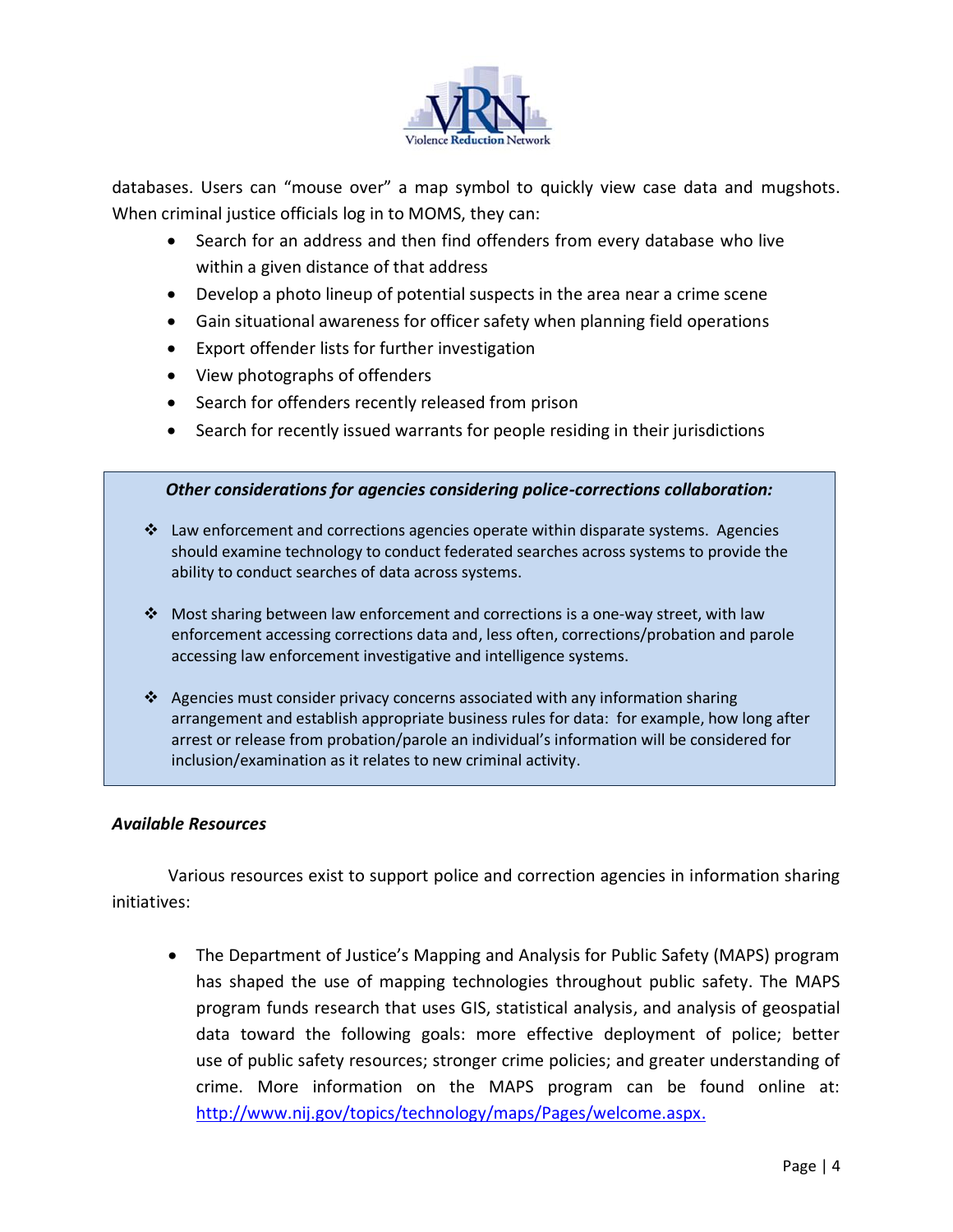

databases. Users can "mouse over" a map symbol to quickly view case data and mugshots. When criminal justice officials log in to MOMS, they can:

- Search for an address and then find offenders from every database who live within a given distance of that address
- Develop a photo lineup of potential suspects in the area near a crime scene
- Gain situational awareness for officer safety when planning field operations
- Export offender lists for further investigation
- View photographs of offenders
- Search for offenders recently released from prison
- Search for recently issued warrants for people residing in their jurisdictions

## *Other considerations for agencies considering police-corrections collaboration:*

- $\clubsuit$  Law enforcement and corrections agencies operate within disparate systems. Agencies should examine technology to conduct federated searches across systems to provide the ability to conduct searches of data across systems.
- Most sharing between law enforcement and corrections is a one-way street, with law enforcement accessing corrections data and, less often, corrections/probation and parole accessing law enforcement investigative and intelligence systems.
- $\clubsuit$  Agencies must consider privacy concerns associated with any information sharing arrangement and establish appropriate business rules for data: for example, how long after arrest or release from probation/parole an individual's information will be considered for inclusion/examination as it relates to new criminal activity.

## *Available Resources*

Various resources exist to support police and correction agencies in information sharing initiatives:

 The Department of Justice's Mapping and Analysis for Public Safety (MAPS) program has shaped the use of mapping technologies throughout public safety. The MAPS program funds research that uses GIS, statistical analysis, and analysis of geospatial data toward the following goals: more effective deployment of police; better use of public safety resources; stronger crime policies; and greater understanding of crime. More information on the MAPS program can be found online at: [http://www.nij.gov/topics/technology/maps/Pages/welcome.aspx.](http://www.nij.gov/topics/technology/maps/Pages/welcome.aspx)